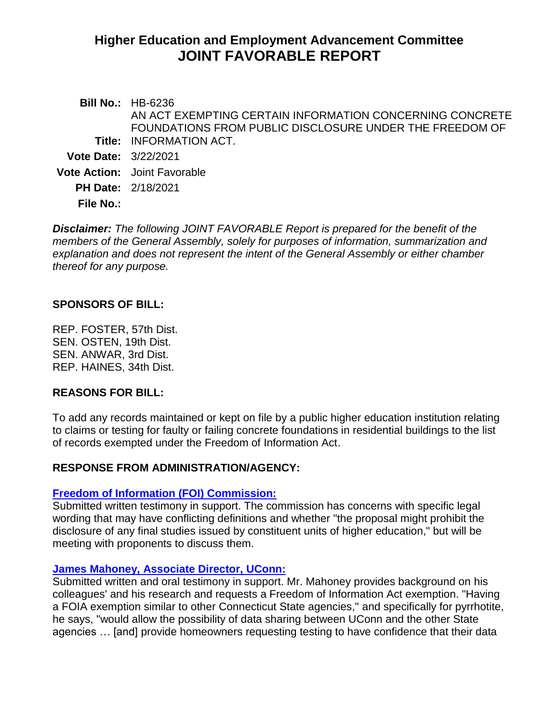# **Higher Education and Employment Advancement Committee JOINT FAVORABLE REPORT**

**Bill No.:** HB-6236 **Title:** INFORMATION ACT. AN ACT EXEMPTING CERTAIN INFORMATION CONCERNING CONCRETE FOUNDATIONS FROM PUBLIC DISCLOSURE UNDER THE FREEDOM OF **Vote Date:** 3/22/2021 **Vote Action:** Joint Favorable **PH Date:** 2/18/2021 **File No.:**

*Disclaimer: The following JOINT FAVORABLE Report is prepared for the benefit of the members of the General Assembly, solely for purposes of information, summarization and explanation and does not represent the intent of the General Assembly or either chamber thereof for any purpose.*

## **SPONSORS OF BILL:**

REP. FOSTER, 57th Dist. SEN. OSTEN, 19th Dist. SEN. ANWAR, 3rd Dist. REP. HAINES, 34th Dist.

#### **REASONS FOR BILL:**

To add any records maintained or kept on file by a public higher education institution relating to claims or testing for faulty or failing concrete foundations in residential buildings to the list of records exempted under the Freedom of Information Act.

#### **RESPONSE FROM ADMINISTRATION/AGENCY:**

#### **[Freedom of Information \(FOI\) Commission:](https://www.cga.ct.gov/2021/HEDdata/Tmy/2021HB-06236-R000218-Freedom%20of%20Information%20Commission-TMY.PDF)**

Submitted written testimony in support. The commission has concerns with specific legal wording that may have conflicting definitions and whether "the proposal might prohibit the disclosure of any final studies issued by constituent units of higher education," but will be meeting with proponents to discuss them.

#### **[James Mahoney, Associate Director, UConn:](https://www.cga.ct.gov/2021/HEDdata/Tmy/2021HB-06236-R000218-Mahoney,%20James-UCONN-TMY.PDF)**

Submitted written and oral testimony in support. Mr. Mahoney provides background on his colleagues' and his research and requests a Freedom of Information Act exemption. "Having a FOIA exemption similar to other Connecticut State agencies," and specifically for pyrrhotite, he says, "would allow the possibility of data sharing between UConn and the other State agencies … [and] provide homeowners requesting testing to have confidence that their data